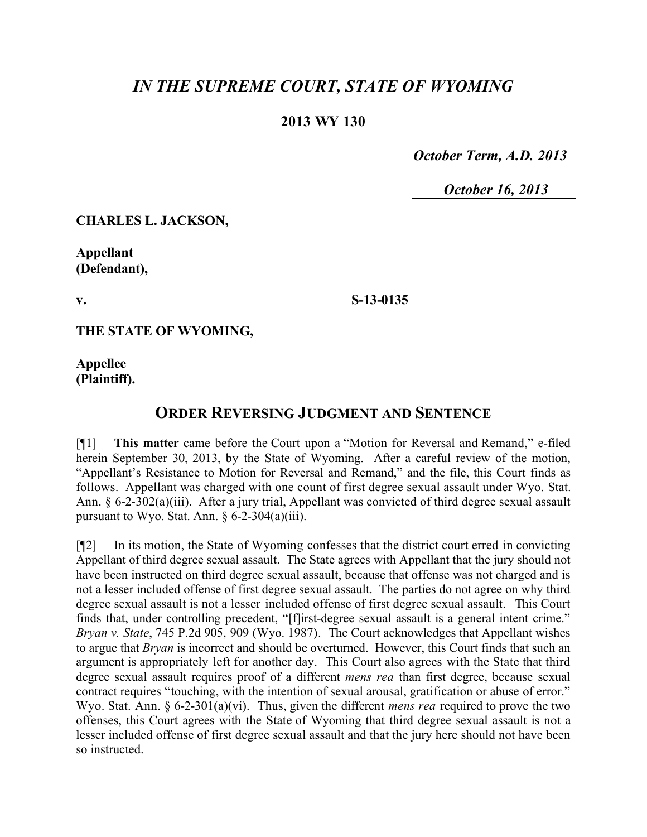## *IN THE SUPREME COURT, STATE OF WYOMING*

## **2013 WY 130**

 *October Term, A.D. 2013*

 *October 16, 2013*

**CHARLES L. JACKSON,**

**Appellant (Defendant),**

**v.**

**S-13-0135**

**THE STATE OF WYOMING,**

**Appellee (Plaintiff).**

## **ORDER REVERSING JUDGMENT AND SENTENCE**

[¶1] **This matter** came before the Court upon a "Motion for Reversal and Remand," e-filed herein September 30, 2013, by the State of Wyoming. After a careful review of the motion, "Appellant's Resistance to Motion for Reversal and Remand," and the file, this Court finds as follows. Appellant was charged with one count of first degree sexual assault under Wyo. Stat. Ann. § 6-2-302(a)(iii). After a jury trial, Appellant was convicted of third degree sexual assault pursuant to Wyo. Stat. Ann.  $\S 6-2-304(a)(iii)$ .

[¶2] In its motion, the State of Wyoming confesses that the district court erred in convicting Appellant of third degree sexual assault. The State agrees with Appellant that the jury should not have been instructed on third degree sexual assault, because that offense was not charged and is not a lesser included offense of first degree sexual assault. The parties do not agree on why third degree sexual assault is not a lesser included offense of first degree sexual assault. This Court finds that, under controlling precedent, "[f]irst-degree sexual assault is a general intent crime." *Bryan v. State*, 745 P.2d 905, 909 (Wyo. 1987). The Court acknowledges that Appellant wishes to argue that *Bryan* is incorrect and should be overturned. However, this Court finds that such an argument is appropriately left for another day. This Court also agrees with the State that third degree sexual assault requires proof of a different *mens rea* than first degree, because sexual contract requires "touching, with the intention of sexual arousal, gratification or abuse of error." Wyo. Stat. Ann. § 6-2-301(a)(vi). Thus, given the different *mens rea* required to prove the two offenses, this Court agrees with the State of Wyoming that third degree sexual assault is not a lesser included offense of first degree sexual assault and that the jury here should not have been so instructed.